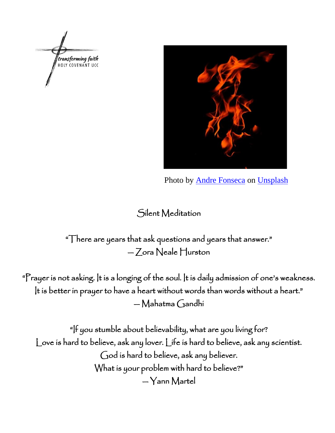transforming faith<br>HOLY COVENANT UCC



Photo by [Andre Fonseca](https://unsplash.com/@andrefonsecaa?utm_source=unsplash&utm_medium=referral&utm_content=creditCopyText) on [Unsplash](https://unsplash.com/collections/10538066/pentecost?utm_source=unsplash&utm_medium=referral&utm_content=creditCopyText)

Silent Meditation

"There are years that ask questions and years that answer." — Zora Neale Hurston

"Prayer is not asking. It is a longing of the soul. It is daily admission of one's weakness. It is better in prayer to have a heart without words than words without a heart." — Mahatma Gandhi

"If you stumble about believability, what are you living for? Love is hard to believe, ask any lover. Life is hard to believe, ask any scientist. God is hard to believe, ask any believer. What is your problem with hard to believe?" — Yann Martel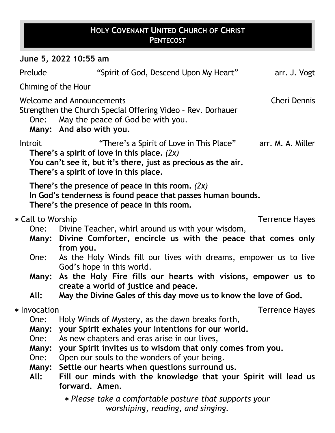# **HOLY COVENANT UNITED CHURCH OF CHRIST PENTECOST**

|                                                                         | June 5, 2022 10:55 am                                                                                                                                                                                                                                                                                                                                                                                      |                       |
|-------------------------------------------------------------------------|------------------------------------------------------------------------------------------------------------------------------------------------------------------------------------------------------------------------------------------------------------------------------------------------------------------------------------------------------------------------------------------------------------|-----------------------|
| Prelude                                                                 | "Spirit of God, Descend Upon My Heart"                                                                                                                                                                                                                                                                                                                                                                     | arr. J. Vogt          |
|                                                                         | Chiming of the Hour                                                                                                                                                                                                                                                                                                                                                                                        |                       |
| One:                                                                    | <b>Welcome and Announcements</b><br>Strengthen the Church Special Offering Video - Rev. Dorhauer<br>May the peace of God be with you.<br>Many: And also with you.                                                                                                                                                                                                                                          | <b>Cheri Dennis</b>   |
| Introit                                                                 | "There's a Spirit of Love in This Place"<br>There's a spirit of love in this place. $(2x)$<br>You can't see it, but it's there, just as precious as the air.<br>There's a spirit of love in this place.                                                                                                                                                                                                    | arr. M. A. Miller     |
|                                                                         | There's the presence of peace in this room. $(2x)$<br>In God's tenderness is found peace that passes human bounds.<br>There's the presence of peace in this room.                                                                                                                                                                                                                                          |                       |
| * Call to Worship                                                       |                                                                                                                                                                                                                                                                                                                                                                                                            | <b>Terrence Hayes</b> |
| One:<br><b>Many:</b>                                                    | Divine Teacher, whirl around us with your wisdom,<br>Divine Comforter, encircle us with the peace that comes only<br>from you.                                                                                                                                                                                                                                                                             |                       |
| One:                                                                    | As the Holy Winds fill our lives with dreams, empower us to live<br>God's hope in this world.                                                                                                                                                                                                                                                                                                              |                       |
| <b>Many:</b>                                                            | As the Holy Fire fills our hearts with visions, empower us to<br>create a world of justice and peace.                                                                                                                                                                                                                                                                                                      |                       |
| All:                                                                    | May the Divine Gales of this day move us to know the love of God.                                                                                                                                                                                                                                                                                                                                          |                       |
| * Invocation<br>One:<br>Many:<br>One:<br>Many:<br>One:<br>Many:<br>All: | Holy Winds of Mystery, as the dawn breaks forth,<br>your Spirit exhales your intentions for our world.<br>As new chapters and eras arise in our lives,<br>your Spirit invites us to wisdom that only comes from you.<br>Open our souls to the wonders of your being.<br>Settle our hearts when questions surround us.<br>Fill our minds with the knowledge that your Spirit will lead us<br>forward. Amen. | <b>Terrence Hayes</b> |
|                                                                         | * Please take a comfortable posture that supports your<br>worshiping, reading, and singing.                                                                                                                                                                                                                                                                                                                |                       |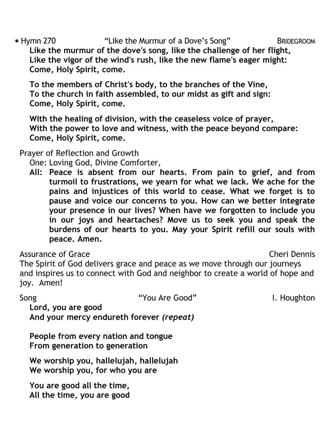Hymn 270 "Like the Murmur of a Dove's Song" BRIDEGROOM **Like the murmur of the dove's song, like the challenge of her flight, Like the vigor of the wind's rush, like the new flame's eager might: Come, Holy Spirit, come.**

**To the members of Christ's body, to the branches of the Vine, To the church in faith assembled, to our midst as gift and sign: Come, Holy Spirit, come.**

**With the healing of division, with the ceaseless voice of prayer, With the power to love and witness, with the peace beyond compare: Come, Holy Spirit, come.**

Prayer of Reflection and Growth

One: Loving God, Divine Comforter,

**All: Peace is absent from our hearts. From pain to grief, and from turmoil to frustrations, we yearn for what we lack. We ache for the pains and injustices of this world to cease. What we forget is to pause and voice our concerns to you. How can we better integrate your presence in our lives? When have we forgotten to include you in our joys and heartaches? Move us to seek you and speak the burdens of our hearts to you. May your Spirit refill our souls with peace. Amen.**

Assurance of Grace **Cheri Dennis** Assurance of Grace

The Spirit of God delivers grace and peace as we move through our journeys and inspires us to connect with God and neighbor to create a world of hope and joy. Amen!

Song The Cool of the Cool of the Cool of the Cool of the Cool of the Cool of the Cool of the Cool of the Cool o

**Lord, you are good And your mercy endureth forever** *(repeat)*

**People from every nation and tongue From generation to generation**

**We worship you, hallelujah, hallelujah We worship you, for who you are**

**You are good all the time, All the time, you are good**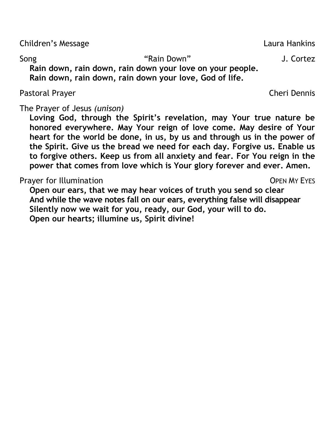**Children's Message Laura Hankins** 

Song Song The Context of the Context of Transform  $S$  and  $S$  are  $\mathcal{L}$  and  $\mathcal{L}$  are  $\mathcal{L}$  and  $\mathcal{L}$  are  $\mathcal{L}$  and  $\mathcal{L}$  are  $\mathcal{L}$  and  $\mathcal{L}$  are  $\mathcal{L}$  are  $\mathcal{L}$  and  $\mathcal{L}$  are  $\mathcal{L}$  and

**Rain down, rain down, rain down your love on your people. Rain down, rain down, rain down your love, God of life.**

Pastoral Prayer Cheri Dennis

### The Prayer of Jesus *(unison)*

**Loving God, through the Spirit's revelation, may Your true nature be honored everywhere. May Your reign of love come. May desire of Your heart for the world be done, in us, by us and through us in the power of the Spirit. Give us the bread we need for each day. Forgive us. Enable us to forgive others. Keep us from all anxiety and fear. For You reign in the power that comes from love which is Your glory forever and ever. Amen.**

### **Prayer for Illumination COPEN MY EXES**

**Open our ears, that we may hear voices of truth you send so clear And while the wave notes fall on our ears, everything false will disappear Silently now we wait for you, ready, our God, your will to do. Open our hearts; illumine us, Spirit divine!**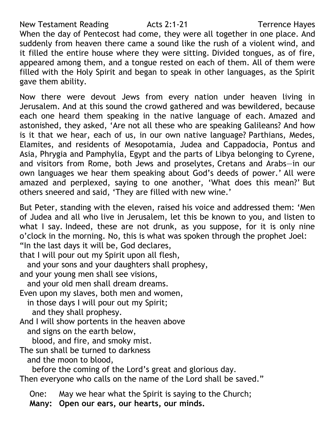New Testament Reading Terrence Hayes When the day of Pentecost had come, they were all together in one place. And suddenly from heaven there came a sound like the rush of a violent wind, and it filled the entire house where they were sitting. Divided tongues, as of fire, appeared among them, and a tongue rested on each of them. All of them were filled with the Holy Spirit and began to speak in other languages, as the Spirit gave them ability.

Now there were devout Jews from every nation under heaven living in Jerusalem. And at this sound the crowd gathered and was bewildered, because each one heard them speaking in the native language of each. Amazed and astonished, they asked, 'Are not all these who are speaking Galileans? And how is it that we hear, each of us, in our own native language? Parthians, Medes, Elamites, and residents of Mesopotamia, Judea and Cappadocia, Pontus and Asia, Phrygia and Pamphylia, Egypt and the parts of Libya belonging to Cyrene, and visitors from Rome, both Jews and proselytes, Cretans and Arabs—in our own languages we hear them speaking about God's deeds of power.' All were amazed and perplexed, saying to one another, 'What does this mean?' But others sneered and said, 'They are filled with new wine.'

But Peter, standing with the eleven, raised his voice and addressed them: 'Men of Judea and all who live in Jerusalem, let this be known to you, and listen to what I say. Indeed, these are not drunk, as you suppose, for it is only nine o'clock in the morning. No, this is what was spoken through the prophet Joel: "In the last days it will be, God declares,

that I will pour out my Spirit upon all flesh,

and your sons and your daughters shall prophesy,

and your young men shall see visions,

and your old men shall dream dreams.

Even upon my slaves, both men and women,

 in those days I will pour out my Spirit; and they shall prophesy.

And I will show portents in the heaven above and signs on the earth below,

blood, and fire, and smoky mist.

The sun shall be turned to darkness

and the moon to blood,

 before the coming of the Lord's great and glorious day. Then everyone who calls on the name of the Lord shall be saved."

One: May we hear what the Spirit is saying to the Church;

**Many: Open our ears, our hearts, our minds.**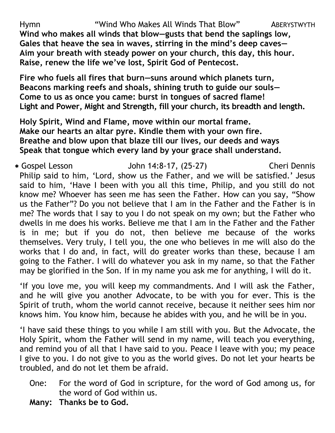Hymn "Wind Who Makes All Winds That Blow" ABERYSTWYTH **Wind who makes all winds that blow—gusts that bend the saplings low, Gales that heave the sea in waves, stirring in the mind's deep caves— Aim your breath with steady power on your church, this day, this hour. Raise, renew the life we've lost, Spirit God of Pentecost.**

**Fire who fuels all fires that burn—suns around which planets turn, Beacons marking reefs and shoals, shining truth to guide our souls— Come to us as once you came: burst in tongues of sacred flame! Light and Power, Might and Strength, fill your church, its breadth and length.**

**Holy Spirit, Wind and Flame, move within our mortal frame. Make our hearts an altar pyre. Kindle them with your own fire. Breathe and blow upon that blaze till our lives, our deeds and ways Speak that tongue which every land by your grace shall understand.**

 Gospel Lesson John 14:8-17, (25-27) Cheri Dennis Philip said to him, 'Lord, show us the Father, and we will be satisfied.' Jesus said to him, 'Have I been with you all this time, Philip, and you still do not know me? Whoever has seen me has seen the Father. How can you say, "Show us the Father"? Do you not believe that I am in the Father and the Father is in me? The words that I say to you I do not speak on my own; but the Father who dwells in me does his works. Believe me that I am in the Father and the Father is in me; but if you do not, then believe me because of the works themselves. Very truly, I tell you, the one who believes in me will also do the works that I do and, in fact, will do greater works than these, because I am going to the Father. I will do whatever you ask in my name, so that the Father may be glorified in the Son. If in my name you ask me for anything, I will do it.

'If you love me, you will keep my commandments. And I will ask the Father, and he will give you another Advocate, to be with you for ever. This is the Spirit of truth, whom the world cannot receive, because it neither sees him nor knows him. You know him, because he abides with you, and he will be in you.

'I have said these things to you while I am still with you. But the Advocate, the Holy Spirit, whom the Father will send in my name, will teach you everything, and remind you of all that I have said to you. Peace I leave with you; my peace I give to you. I do not give to you as the world gives. Do not let your hearts be troubled, and do not let them be afraid.

- One: For the word of God in scripture, for the word of God among us, for the word of God within us.
- **Many: Thanks be to God.**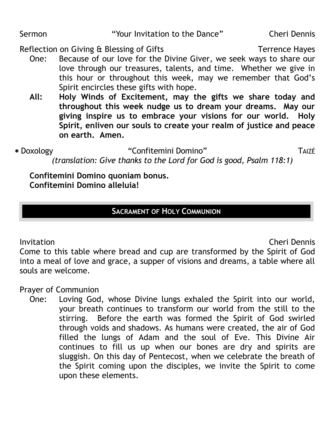Sermon **The Cheri Cheri Cheri Cheri Cheri Cheri** Cheri Dennis

Reflection on Giving & Blessing of Gifts Terrence Hayes

- One: Because of our love for the Divine Giver, we seek ways to share our love through our treasures, talents, and time. Whether we give in this hour or throughout this week, may we remember that God's Spirit encircles these gifts with hope.
- **All: Holy Winds of Excitement, may the gifts we share today and throughout this week nudge us to dream your dreams. May our giving inspire us to embrace your visions for our world. Holy Spirit, enliven our souls to create your realm of justice and peace on earth. Amen.**
- Doxology "Confitemini Domino" TAIZÉ *(translation: Give thanks to the Lord for God is good, Psalm 118:1)*

### **Confitemini Domino quoniam bonus. Confitemini Domino alleluia!**

# **SACRAMENT OF HOLY COMMUNION**

Invitation Cheri Dennis

Come to this table where bread and cup are transformed by the Spirit of God into a meal of love and grace, a supper of visions and dreams, a table where all souls are welcome.

#### Prayer of Communion

One: Loving God, whose Divine lungs exhaled the Spirit into our world, your breath continues to transform our world from the still to the stirring. Before the earth was formed the Spirit of God swirled through voids and shadows. As humans were created, the air of God filled the lungs of Adam and the soul of Eve. This Divine Air continues to fill us up when our bones are dry and spirits are sluggish. On this day of Pentecost, when we celebrate the breath of the Spirit coming upon the disciples, we invite the Spirit to come upon these elements.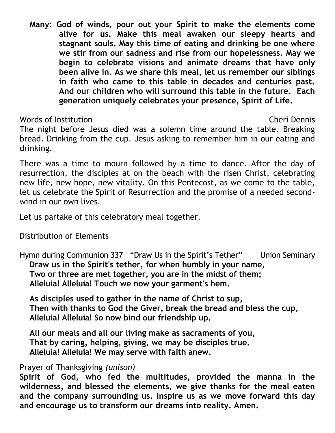**Many: God of winds, pour out your Spirit to make the elements come alive for us. Make this meal awaken our sleepy hearts and stagnant souls. May this time of eating and drinking be one where we stir from our sadness and rise from our hopelessness. May we begin to celebrate visions and animate dreams that have only been alive in. As we share this meal, let us remember our siblings in faith who came to this table in decades and centuries past. And our children who will surround this table in the future. Each generation uniquely celebrates your presence, Spirit of Life.**

Words of Institution Cheri Dennis

The night before Jesus died was a solemn time around the table. Breaking bread. Drinking from the cup. Jesus asking to remember him in our eating and drinking.

There was a time to mourn followed by a time to dance. After the day of resurrection, the disciples at on the beach with the risen Christ, celebrating new life, new hope, new vitality. On this Pentecost, as we come to the table, let us celebrate the Spirit of Resurrection and the promise of a needed secondwind in our own lives.

Let us partake of this celebratory meal together.

Distribution of Elements

Hymn during Communion 337 "Draw Us in the Spirit's Tether" Union Seminary **Draw us in the Spirit's tether, for when humbly in your name, Two or three are met together, you are in the midst of them; Alleluia! Alleluia! Touch we now your garment's hem.**

**As disciples used to gather in the name of Christ to sup, Then with thanks to God the Giver, break the bread and bless the cup, Alleluia! Alleluia! So now bind our friendship up.**

**All our meals and all our living make as sacraments of you, That by caring, helping, giving, we may be disciples true. Alleluia! Alleluia! We may serve with faith anew.**

# Prayer of Thanksgiving *(unison)*

**Spirit of God, who fed the multitudes, provided the manna in the wilderness, and blessed the elements, we give thanks for the meal eaten and the company surrounding us. Inspire us as we move forward this day and encourage us to transform our dreams into reality. Amen.**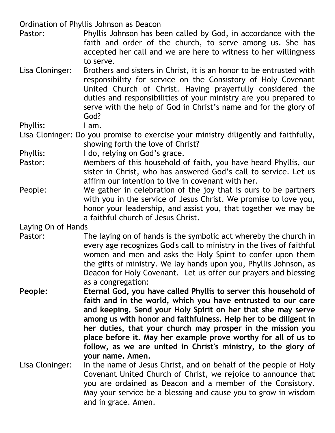Ordination of Phyllis Johnson as Deacon

- Pastor: Phyllis Johnson has been called by God, in accordance with the faith and order of the church, to serve among us. She has accepted her call and we are here to witness to her willingness to serve.
- Lisa Cloninger: Brothers and sisters in Christ, it is an honor to be entrusted with responsibility for service on the Consistory of Holy Covenant United Church of Christ. Having prayerfully considered the duties and responsibilities of your ministry are you prepared to serve with the help of God in Christ's name and for the glory of God?

Phyllis: I am.

- Lisa Cloninger: Do you promise to exercise your ministry diligently and faithfully, showing forth the love of Christ?
- Phyllis: I do, relying on God's grace.
- Pastor: Members of this household of faith, you have heard Phyllis, our sister in Christ, who has answered God's call to service. Let us affirm our intention to live in covenant with her.
- People: We gather in celebration of the joy that is ours to be partners with you in the service of Jesus Christ. We promise to love you, honor your leadership, and assist you, that together we may be a faithful church of Jesus Christ.

Laying On of Hands

- Pastor: The laying on of hands is the symbolic act whereby the church in every age recognizes God's call to ministry in the lives of faithful women and men and asks the Holy Spirit to confer upon them the gifts of ministry. We lay hands upon you, Phyllis Johnson, as Deacon for Holy Covenant. Let us offer our prayers and blessing as a congregation:
- **People: Eternal God, you have called Phyllis to server this household of faith and in the world, which you have entrusted to our care and keeping. Send your Holy Spirit on her that she may serve among us with honor and faithfulness. Help her to be diligent in her duties, that your church may prosper in the mission you place before it. May her example prove worthy for all of us to follow, as we are united in Christ's ministry, to the glory of your name. Amen.**
- Lisa Cloninger: In the name of Jesus Christ, and on behalf of the people of Holy Covenant United Church of Christ, we rejoice to announce that you are ordained as Deacon and a member of the Consistory. May your service be a blessing and cause you to grow in wisdom and in grace. Amen.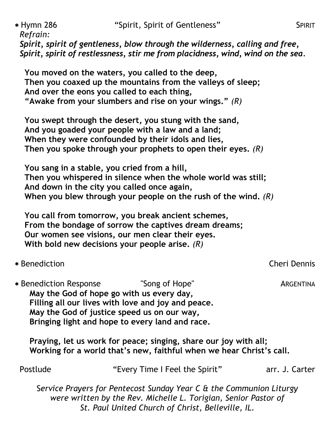| * Hymn 286<br>Refrain: | "Spirit, Spirit of Gentleness"                                                                                                                                                                                                             | <b>SPIRIT</b>  |
|------------------------|--------------------------------------------------------------------------------------------------------------------------------------------------------------------------------------------------------------------------------------------|----------------|
|                        | Spirit, spirit of gentleness, blow through the wilderness, calling and free,<br>Spirit, spirit of restlessness, stir me from placidness, wind, wind on the sea.                                                                            |                |
|                        | You moved on the waters, you called to the deep,<br>Then you coaxed up the mountains from the valleys of sleep;<br>And over the eons you called to each thing,<br>"Awake from your slumbers and rise on your wings." $(R)$                 |                |
|                        | You swept through the desert, you stung with the sand,<br>And you goaded your people with a law and a land;<br>When they were confounded by their idols and lies,<br>Then you spoke through your prophets to open their eyes. $(R)$        |                |
|                        | You sang in a stable, you cried from a hill,<br>Then you whispered in silence when the whole world was still;<br>And down in the city you called once again,<br>When you blew through your people on the rush of the wind. $(R)$           |                |
|                        | You call from tomorrow, you break ancient schemes,<br>From the bondage of sorrow the captives dream dreams;<br>Our women see visions, our men clear their eyes.<br>With bold new decisions your people arise. $(R)$                        |                |
| * Benediction          |                                                                                                                                                                                                                                            | Cheri Dennis   |
|                        | * Benediction Response "Song of Hope"<br>May the God of hope go with us every day,<br>Filling all our lives with love and joy and peace.<br>May the God of justice speed us on our way,<br>Bringing light and hope to every land and race. | ARGENTINA      |
|                        | Praying, let us work for peace; singing, share our joy with all;<br>Working for a world that's new, faithful when we hear Christ's call.                                                                                                   |                |
| Postlude               | "Every Time I Feel the Spirit"                                                                                                                                                                                                             | arr. J. Carter |
|                        | Service Prayers for Pentecost Sunday Year C & the Communion Liturgy<br>were written by the Rev. Michelle L. Torigian, Senior Pastor of<br>St. Paul United Church of Christ, Belleville, IL.                                                |                |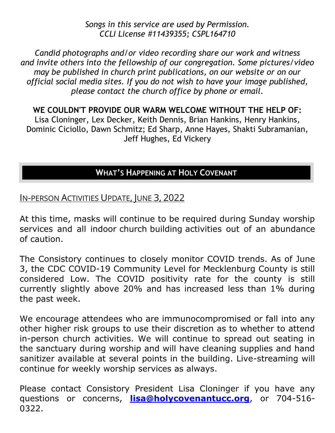*Songs in this service are used by Permission. CCLI License #11439355; CSPL164710*

*Candid photographs and/or video recording share our work and witness and invite others into the fellowship of our congregation. Some pictures/video may be published in church print publications, on our website or on our official social media sites. If you do not wish to have your image published, please contact the church office by phone or email.*

**WE COULDN'T PROVIDE OUR WARM WELCOME WITHOUT THE HELP OF:** Lisa Cloninger, Lex Decker, Keith Dennis, Brian Hankins, Henry Hankins, Dominic Ciciollo, Dawn Schmitz; Ed Sharp, Anne Hayes, Shakti Subramanian, Jeff Hughes, Ed Vickery

# **WHAT'S HAPPENING AT HOLY COVENANT**

IN-PERSON ACTIVITIES UPDATE, JUNE 3, 2022

At this time, masks will continue to be required during Sunday worship services and all indoor church building activities out of an abundance of caution.

The Consistory continues to closely monitor COVID trends. As of June 3, the CDC COVID-19 Community Level for Mecklenburg County is still considered Low. The COVID positivity rate for the county is still currently slightly above 20% and has increased less than 1% during the past week.

We encourage attendees who are immunocompromised or fall into any other higher risk groups to use their discretion as to whether to attend in-person church activities. We will continue to spread out seating in the sanctuary during worship and will have cleaning supplies and hand sanitizer available at several points in the building. Live-streaming will continue for weekly worship services as always.

Please contact Consistory President Lisa Cloninger if you have any questions or concerns, **[lisa@holycovenantucc.org](mailto:lisa@holycovenantucc.org)**, or 704-516- 0322.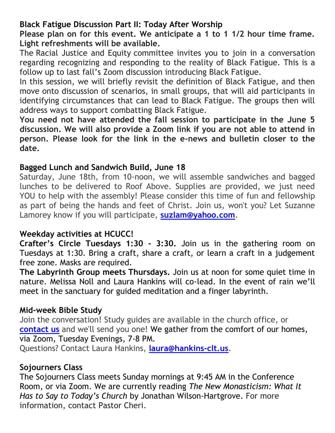# **Black Fatigue Discussion Part II: Today After Worship**

# **Please plan on for this event. We anticipate a 1 to 1 1/2 hour time frame. Light refreshments will be available.**

The Racial Justice and Equity committee invites you to join in a conversation regarding recognizing and responding to the reality of Black Fatigue. This is a follow up to last fall's Zoom discussion introducing Black Fatigue.

In this session, we will briefly revisit the definition of Black Fatigue, and then move onto discussion of scenarios, in small groups, that will aid participants in identifying circumstances that can lead to Black Fatigue. The groups then will address ways to support combatting Black Fatigue.

**You need not have attended the fall session to participate in the June 5 discussion. We will also provide a Zoom link if you are not able to attend in person. Please look for the link in the e-news and bulletin closer to the date.**

### **Bagged Lunch and Sandwich Build, June 18**

Saturday, June 18th, from 10-noon, we will assemble sandwiches and bagged lunches to be delivered to Roof Above. Supplies are provided, we just need YOU to help with the assembly! Please consider this time of fun and fellowship as part of being the hands and feet of Christ. Join us, won't you? Let Suzanne Lamorey know if you will participate, **[suzlam@yahoo.com](mailto:suzlam@yahoo.com)**.

# **Weekday activities at HCUCC!**

**Crafter's Circle Tuesdays 1:30 - 3:30.** Join us in the gathering room on Tuesdays at 1:30. Bring a craft, share a craft, or learn a craft in a judgement free zone. Masks are required.

**The Labyrinth Group meets Thursdays.** Join us at noon for some quiet time in nature. Melissa Noll and Laura Hankins will co-lead. In the event of rain we'll meet in the sanctuary for guided meditation and a finger labyrinth.

# **Mid-week Bible Study**

Join the conversation! Study guides are available in the church office, or **[contact us](mailto:office@holycovenantucc.org)** and we'll send you one! We gather from the comfort of our homes, via Zoom, Tuesday Evenings, 7-8 PM.

Questions? Contact Laura Hankins, **[laura@hankins-clt.us](mailto:laura@hankins-clt.us)**.

# **Sojourners Class**

The Sojourners Class meets Sunday mornings at 9:45 AM in the Conference Room, or via Zoom. We are currently reading *The New Monasticism: What It Has to Say to Today's Church* by Jonathan Wilson-Hartgrove. For more information, contact Pastor Cheri.